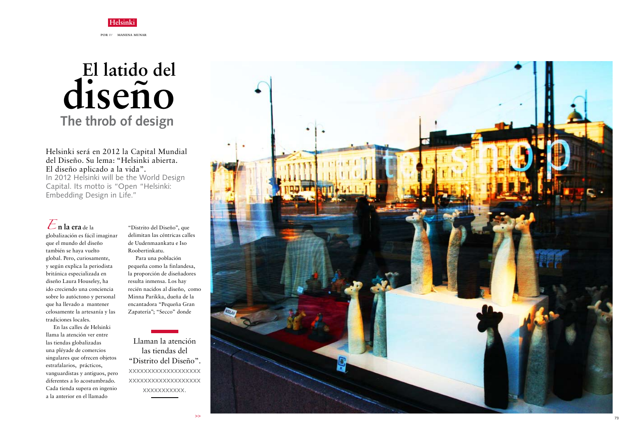## **Helsinki** POR BY MANENA MUNAR

Helsinki será en 2012 la Capital Mundial del Diseño. Su lema: "Helsinki abierta. El diseño aplicado a la vida". In 2012 Helsinki will be the World Design Capital. Its motto is "Open "Helsinki: Embedding Design in Life."



que el mundo del diseño también se haya vuelto global. Pero, curiosamente, y según explica la periodista británica especializada en diseño Laura Houseley, ha ido creciendo una conciencia sobre lo autóctono y personal que ha llevado a mantener celosamente la artesanía y las tradiciones locales.

En las calles de Helsinki llama la atención ver entre las tiendas globalizadas una pléyade de comercios singulares que ofrecen objetos estrafalarios, prácticos, vanguardistas y antiguos, pero diferentes a lo acostumbrado. Cada tienda supera en ingenio a la anterior en el llamado

"Distrito del Diseño", que delimitan las céntricas calles de Uudenmaankatu e Iso Roobertinkatu.

Para una población pequeña como la finlandesa, la proporción de diseñadores resulta inmensa. Los hay recién nacidos al diseño, como Minna Parikka, dueña de la encantadora "Pequeña Gran Zapatería"; "Secco" donde

## **El latido del The throb of design diseño**

Llaman la atención las tiendas del "Distrito del Diseño". xxxxxxxxxxxxxxxxxxx xxxxxxxxxxxxxxxxxxx xxxxxxxxxxx.